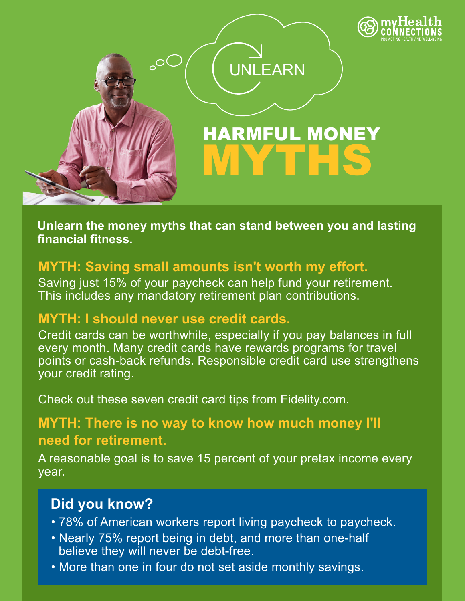

**Unlearn the money myths that can stand between you and lasting financial fitness.**

## **MYTH: Saving small amounts isn't worth my effort.**

Saving just 15% of your paycheck can help fund your retirement. This includes any mandatory retirement plan contributions.

## **MYTH: I should never use credit cards.**

Credit cards can be worthwhile, especially if you pay balances in full every month. Many credit cards have rewards programs for travel points or cash-back refunds. Responsible credit card use strengthens your credit rating.

Check out these seven credit card tips from Fidelity.com.

# **MYTH: There is no way to know how much money I'll need for retirement.**

A reasonable goal is to save 15 percent of your pretax income every year.

# **Did you know?**

- 78% of American workers report living paycheck to paycheck.
- Nearly 75% report being in debt, and more than one-half believe they will never be debt-free.
- More than one in four do not set aside monthly savings.